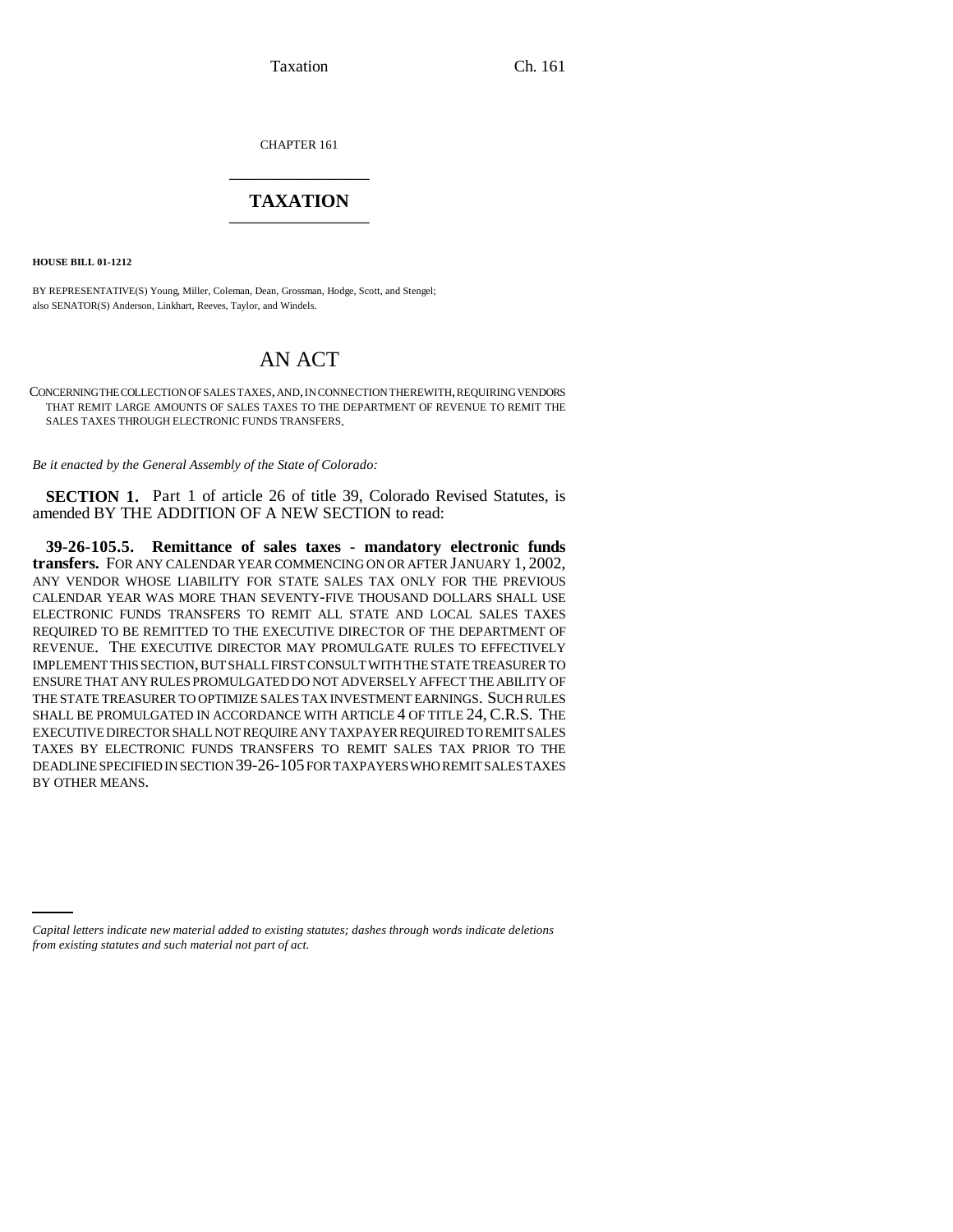Taxation Ch. 161

CHAPTER 161 \_\_\_\_\_\_\_\_\_\_\_\_\_\_\_

## **TAXATION** \_\_\_\_\_\_\_\_\_\_\_\_\_\_\_

**HOUSE BILL 01-1212**

BY REPRESENTATIVE(S) Young, Miller, Coleman, Dean, Grossman, Hodge, Scott, and Stengel; also SENATOR(S) Anderson, Linkhart, Reeves, Taylor, and Windels.

## AN ACT

CONCERNING THE COLLECTION OF SALES TAXES, AND, IN CONNECTION THEREWITH, REQUIRING VENDORS THAT REMIT LARGE AMOUNTS OF SALES TAXES TO THE DEPARTMENT OF REVENUE TO REMIT THE SALES TAXES THROUGH ELECTRONIC FUNDS TRANSFERS.

*Be it enacted by the General Assembly of the State of Colorado:*

**SECTION 1.** Part 1 of article 26 of title 39, Colorado Revised Statutes, is amended BY THE ADDITION OF A NEW SECTION to read:

**39-26-105.5. Remittance of sales taxes - mandatory electronic funds transfers.** FOR ANY CALENDAR YEAR COMMENCING ON OR AFTER JANUARY 1, 2002, ANY VENDOR WHOSE LIABILITY FOR STATE SALES TAX ONLY FOR THE PREVIOUS CALENDAR YEAR WAS MORE THAN SEVENTY-FIVE THOUSAND DOLLARS SHALL USE ELECTRONIC FUNDS TRANSFERS TO REMIT ALL STATE AND LOCAL SALES TAXES REQUIRED TO BE REMITTED TO THE EXECUTIVE DIRECTOR OF THE DEPARTMENT OF REVENUE. THE EXECUTIVE DIRECTOR MAY PROMULGATE RULES TO EFFECTIVELY IMPLEMENT THIS SECTION, BUT SHALL FIRST CONSULT WITH THE STATE TREASURER TO ENSURE THAT ANY RULES PROMULGATED DO NOT ADVERSELY AFFECT THE ABILITY OF THE STATE TREASURER TO OPTIMIZE SALES TAX INVESTMENT EARNINGS. SUCH RULES SHALL BE PROMULGATED IN ACCORDANCE WITH ARTICLE 4 OF TITLE 24, C.R.S. THE EXECUTIVE DIRECTOR SHALL NOT REQUIRE ANY TAXPAYER REQUIRED TO REMIT SALES TAXES BY ELECTRONIC FUNDS TRANSFERS TO REMIT SALES TAX PRIOR TO THE DEADLINE SPECIFIED IN SECTION 39-26-105 FOR TAXPAYERS WHO REMIT SALES TAXES BY OTHER MEANS.

*Capital letters indicate new material added to existing statutes; dashes through words indicate deletions from existing statutes and such material not part of act.*